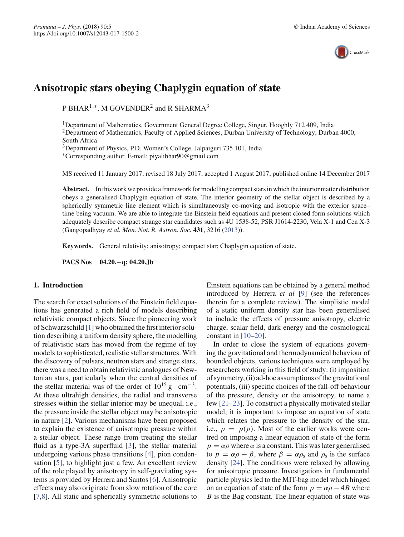

# **Anisotropic stars obeying Chaplygin equation of state**

P BHAR<sup>1,∗</sup>, M GOVENDER<sup>2</sup> and R SHARMA<sup>3</sup>

<sup>1</sup>Department of Mathematics, Government General Degree College, Singur, Hooghly 712 409, India <sup>2</sup>Department of Mathematics, Faculty of Applied Sciences, Durban University of Technology, Durban 4000, South Africa

<sup>3</sup>Department of Physics, P.D. Women's College, Jalpaiguri 735 101, India

∗Corresponding author. E-mail: piyalibhar90@gmail.com

MS received 11 January 2017; revised 18 July 2017; accepted 1 August 2017; published online 14 December 2017

**Abstract.** In this work we provide a framework for modelling compact stars in which the interior matter distribution obeys a generalised Chaplygin equation of state. The interior geometry of the stellar object is described by a spherically symmetric line element which is simultaneously co-moving and isotropic with the exterior space– time being vacuum. We are able to integrate the Einstein field equations and present closed form solutions which adequately describe compact strange star candidates such as 4U 1538-52, PSR J1614-2230, Vela X-1 and Cen X-3 (Gangopadhyay *et al*, *Mon. Not. R. Astron. Soc.* **431**, 3216 (2013)).

**Keywords.** General relativity; anisotropy; compact star; Chaplygin equation of state.

**PACS Nos 04.20.**−**q; 04.20.Jb**

# **1. Introduction**

The search for exact solutions of the Einstein field equations has generated a rich field of models describing relativistic compact objects. Since the pioneering work of Schwarzschild [1] who obtained the first interior solution describing a uniform density sphere, the modelling of relativistic stars has moved from the regime of toy models to sophisticated, realistic stellar structures. With the discovery of pulsars, neutron stars and strange stars, there was a need to obtain relativistic analogues of Newtonian stars, particularly when the central densities of the stellar material was of the order of  $10^{15}$  g · cm<sup>-3</sup>. At these ultrahigh densities, the radial and transverse stresses within the stellar interior may be unequal, i.e., the pressure inside the stellar object may be anisotropic in nature [2]. Various mechanisms have been proposed to explain the existence of anisotropic pressure within a stellar object. These range from treating the stellar fluid as a type-3A superfluid [3], the stellar material undergoing various phase transitions [4], pion condensation [5], to highlight just a few. An excellent review of the role played by anisotropy in self-gravitating systems is provided by Herrera and Santos [6]. Anisotropic effects may also originate from slow rotation of the core [7,8]. All static and spherically symmetric solutions to Einstein equations can be obtained by a general method introduced by Herrera *et al* [9] (see the references therein for a complete review). The simplistic model of a static uniform density star has been generalised to include the effects of pressure anisotropy, electric charge, scalar field, dark energy and the cosmological constant in  $[10-20]$ .

In order to close the system of equations governing the gravitational and thermodynamical behaviour of bounded objects, various techniques were employed by researchers working in this field of study: (i) imposition of symmetry, (ii) ad-hoc assumptions of the gravitational potentials, (iii) specific choices of the fall-off behaviour of the pressure, density or the anisotropy, to name a few [21–23]. To construct a physically motivated stellar model, it is important to impose an equation of state which relates the pressure to the density of the star, i.e.,  $p = p(\rho)$ . Most of the earlier works were centred on imposing a linear equation of state of the form  $p = \alpha \rho$  where  $\alpha$  is a constant. This was later generalised to  $p = \alpha \rho - \beta$ , where  $\beta = \alpha \rho_s$  and  $\rho_s$  is the surface density [24]. The conditions were relaxed by allowing for anisotropic pressure. Investigations in fundamental particle physics led to the MIT-bag model which hinged on an equation of state of the form  $p = \alpha \rho - 4B$  where *B* is the Bag constant. The linear equation of state was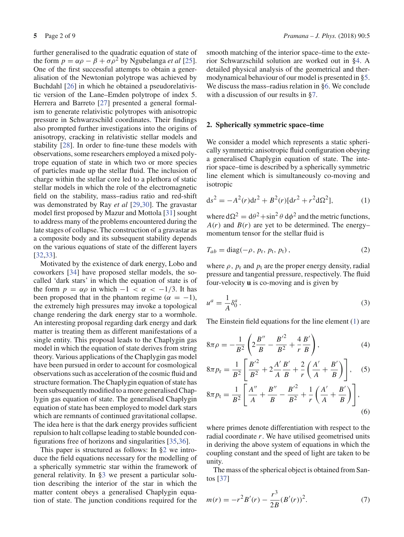further generalised to the quadratic equation of state of the form  $p = \alpha \rho - \beta + \sigma \rho^2$  by Ngubelanga *et al* [25]. One of the first successful attempts to obtain a generalisation of the Newtonian polytrope was achieved by Buchdahl [26] in which he obtained a pseudorelativistic version of the Lane–Emden polytrope of index 5. Herrera and Barreto [27] presented a general formalism to generate relativistic polytropes with anisotropic pressure in Schwarzschild coordinates. Their findings also prompted further investigations into the origins of anisotropy, cracking in relativistic stellar models and stability [28]. In order to fine-tune these models with observations, some researchers employed a mixed polytrope equation of state in which two or more species of particles made up the stellar fluid. The inclusion of charge within the stellar core led to a plethora of static stellar models in which the role of the electromagnetic field on the stability, mass–radius ratio and red-shift was demonstrated by Ray *et al* [29,30]. The gravastar model first proposed by Mazur and Mottola [31] sought to address many of the problems encountered during the late stages of collapse. The construction of a gravastar as a composite body and its subsequent stability depends on the various equations of state of the different layers [32,33].

Motivated by the existence of dark energy, Lobo and coworkers [34] have proposed stellar models, the socalled 'dark stars' in which the equation of state is of the form  $p = \alpha \rho$  in which  $-1 < \alpha < -1/3$ . It has been proposed that in the phantom regime ( $\alpha = -1$ ), the extremely high pressures may invoke a topological change rendering the dark energy star to a wormhole. An interesting proposal regarding dark energy and dark matter is treating them as different manifestations of a single entity. This proposal leads to the Chaplygin gas model in which the equation of state derives from string theory. Various applications of the Chaplygin gas model have been pursued in order to account for cosmological observations such as acceleration of the cosmic fluid and structure formation. The Chaplygin equation of state has been subsequently modified to a more generalised Chaplygin gas equation of state. The generalised Chaplygin equation of state has been employed to model dark stars which are remnants of continued gravitational collapse. The idea here is that the dark energy provides sufficient repulsion to halt collapse leading to stable bounded configurations free of horizons and singularities [35,36].

This paper is structured as follows: In §2 we introduce the field equations necessary for the modelling of a spherically symmetric star within the framework of general relativity. In §3 we present a particular solution describing the interior of the star in which the matter content obeys a generalised Chaplygin equation of state. The junction conditions required for the smooth matching of the interior space–time to the exterior Schwarzschild solution are worked out in §4. A detailed physical analysis of the geometrical and thermodynamical behaviour of our model is presented in §5. We discuss the mass–radius relation in §6. We conclude with a discussion of our results in §7.

#### **2. Spherically symmetric space–time**

We consider a model which represents a static spherically symmetric anisotropic fluid configuration obeying a generalised Chaplygin equation of state. The interior space–time is described by a spherically symmetric line element which is simultaneously co-moving and isotropic

$$
ds^{2} = -A^{2}(r)dt^{2} + B^{2}(r)[dr^{2} + r^{2}d\Omega^{2}],
$$
 (1)

where  $d\Omega^2 = d\theta^2 + \sin^2 \theta d\phi^2$  and the metric functions,  $A(r)$  and  $B(r)$  are yet to be determined. The energy– momentum tensor for the stellar fluid is

$$
T_{ab} = \text{diag}(-\rho, p_{\text{r}}, p_{\text{t}}, p_{\text{t}}), \qquad (2)
$$

where  $\rho$ ,  $p_r$  and  $p_t$  are the proper energy density, radial pressure and tangential pressure, respectively. The fluid four-velocity **u** is co-moving and is given by

$$
u^a = \frac{1}{A} \delta^a_0 \,. \tag{3}
$$

The Einstein field equations for the line element (1) are

$$
8\pi \rho = -\frac{1}{B^2} \left( 2\frac{B''}{B} - \frac{B'^2}{B^2} + \frac{4}{r} \frac{B'}{B} \right),\tag{4}
$$

$$
8\pi p_{r} = \frac{1}{B^{2}} \left[ \frac{B'^{2}}{B^{2}} + 2\frac{A'}{A} \frac{B'}{B} + \frac{2}{r} \left( \frac{A'}{A} + \frac{B'}{B} \right) \right], \quad (5)
$$

$$
8\pi p_{t} = \frac{1}{B^{2}} \left[ \frac{A''}{A} + \frac{B''}{B} - \frac{B'^{2}}{B^{2}} + \frac{1}{r} \left( \frac{A'}{A} + \frac{B'}{B} \right) \right],
$$
\n(6)

where primes denote differentiation with respect to the radial coordinate *r*. We have utilised geometrised units in deriving the above system of equations in which the coupling constant and the speed of light are taken to be unity.

The mass of the spherical object is obtained from Santos [37]

$$
m(r) = -r^2 B'(r) - \frac{r^3}{2B} (B'(r))^2.
$$
 (7)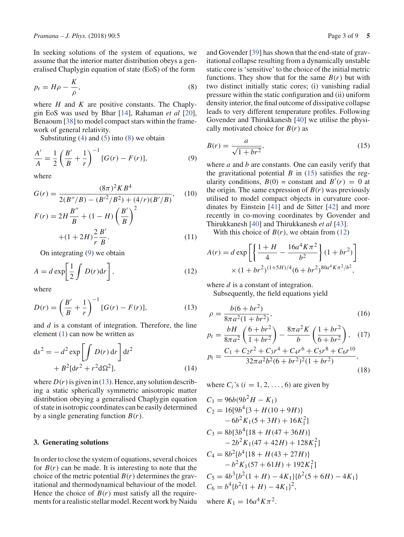In seeking solutions of the system of equations, we assume that the interior matter distribution obeys a generalised Chaplygin equation of state (EoS) of the form

$$
p_{\rm r} = H\rho - \frac{K}{\rho},\tag{8}
$$

where *H* and *K* are positive constants. The Chaplygin EoS was used by Bhar [14], Rahaman *et al* [20], Benaoum [38] to model compact stars within the framework of general relativity.

Substituting  $(4)$  and  $(5)$  into  $(8)$  we obtain

$$
\frac{A'}{A} = \frac{1}{2} \left( \frac{B'}{B} + \frac{1}{r} \right)^{-1} [G(r) - F(r)],\tag{9}
$$

where

$$
G(r) = \frac{(8\pi)^2 K B^4}{2(B''/B) - (B'^2/B^2) + (4/r)(B'/B)},
$$
 (10)  

$$
F(r) = 2H\frac{B''}{B} + (1 - H)\left(\frac{B'}{B}\right)^2
$$

$$
+(1+2H)\frac{2}{r}\frac{B'}{B}.
$$
\n(11)

On integrating (9) we obtain

$$
A = d \exp\left[\frac{1}{2} \int D(r) dr\right],\tag{12}
$$

where

$$
D(r) = \left(\frac{B'}{B} + \frac{1}{r}\right)^{-1} [G(r) - F(r)],\tag{13}
$$

and *d* is a constant of integration. Therefore, the line element (1) can now be written as

$$
ds2 = -d2 exp \left[ \int D(r) dr \right] dt2
$$
  
+ B<sup>2</sup>[dr<sup>2</sup> + r<sup>2</sup>dΩ<sup>2</sup>], (14)

where  $D(r)$  is given in (13). Hence, any solution describing a static spherically symmetric anisotropic matter distribution obeying a generalised Chaplygin equation of state in isotropic coordinates can be easily determined by a single generating function  $B(r)$ .

# **3. Generating solutions**

In order to close the system of equations, several choices for  $B(r)$  can be made. It is interesting to note that the choice of the metric potential  $B(r)$  determines the gravitational and thermodynamical behaviour of the model. Hence the choice of  $B(r)$  must satisfy all the requirements for a realistic stellar model. Recent work by Naidu and Govender [39] has shown that the end-state of gravitational collapse resulting from a dynamically unstable static core is 'sensitive' to the choice of the initial metric functions. They show that for the same  $B(r)$  but with two distinct initially static cores; (i) vanishing radial pressure within the static configuration and (ii) uniform density interior, the final outcome of dissipative collapse leads to very different temperature profiles. Following Govender and Thirukkanesh [40] we utilise the physically motivated choice for  $B(r)$  as

$$
B(r) = \frac{a}{\sqrt{1 + br^2}},\tag{15}
$$

where *a* and *b* are constants. One can easily verify that the gravitational potential  $B$  in (15) satisfies the regularity conditions,  $B(0) = \text{constant}$  and  $B'(r) = 0$  at the origin. The same expression of  $B(r)$  was previously utilised to model compact objects in curvature coordinates by Einstein [41] and de Sitter [42] and more recently in co-moving coordinates by Govender and Thirukkanesh [40] and Thirukkanesh *et al* [43].

With this choice of  $B(r)$ , we obtain from (12)

$$
A(r) = d \exp \left[ \left\{ \frac{1+H}{4} - \frac{16a^4 K \pi^2}{b^2} \right\} (1+br^2) \right] \times (1+br^2)^{(1+5H)/4} (6+br^2)^{80a^4 K \pi^2/b^2},
$$

where *d* is a constant of integration. Subsequently, the field equations yield

$$
\rho = \frac{b(6+br^2)}{8\pi a^2(1+br^2)},\tag{16}
$$

$$
p_{\rm r} = \frac{bH}{8\pi a^2} \left(\frac{6+br^2}{1+br^2}\right) - \frac{8\pi a^2 K}{b} \left(\frac{1+br^2}{6+br^2}\right), \quad (17)
$$
\n
$$
p_{\rm t} = \frac{C_1 + C_2 r^2 + C_3 r^4 + C_4 r^6 + C_5 r^8 + C_6 r^{10}}{32\pi a^2 b^2 (6+br^2)^2 (1+br^2)}, \quad (18)
$$

where  $C_i$ 's ( $i = 1, 2, \ldots, 6$ ) are given by

$$
C_1 = 96b(9b^2H - K_1)
$$
  
\n
$$
C_2 = 16[9b^4\{3 + H(10 + 9H)\}\
$$
  
\n
$$
-6b^2K_1(5 + 3H) + 16K_1^2]
$$
  
\n
$$
C_3 = 8b[3b^4\{18 + H(47 + 36H)\}\
$$
  
\n
$$
-2b^2K_1(47 + 42H) + 128K_1^2]
$$
  
\n
$$
C_4 = 8b^2[b^4\{18 + H(43 + 27H)\}\
$$
  
\n
$$
-b^2K_1(57 + 61H) + 192K_1^2]
$$
  
\n
$$
C_5 = 4b^3\{b^2(1 + H) - 4K_1\}\{b^2(5 + 6H) - 4K_1\}
$$
  
\n
$$
C_6 = b^4\{b^2(1 + H) - 4K_1\}^2,
$$

where  $K_1 = 16a^4K\pi^2$ .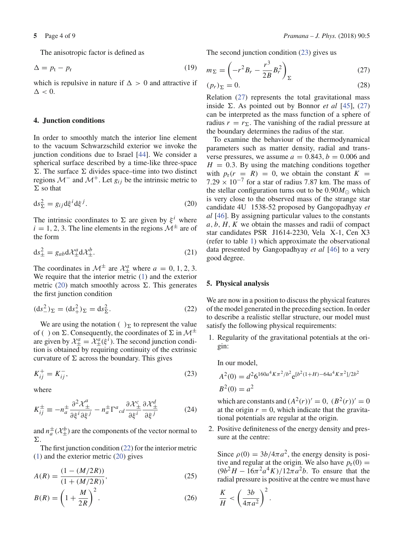The anisotropic factor is defined as

$$
\Delta = p_{\rm t} - p_{\rm r} \tag{19}
$$

which is repulsive in nature if  $\Delta > 0$  and attractive if  $\Delta < 0$ .

#### **4. Junction conditions**

In order to smoothly match the interior line element to the vacuum Schwarzschild exterior we invoke the junction conditions due to Israel [44]. We consider a spherical surface described by a time-like three-space  $\Sigma$ . The surface  $\Sigma$  divides space–time into two distinct regions  $\mathcal{M}^-$  and  $\mathcal{M}^+$ . Let  $g_{ij}$  be the intrinsic metric to  $\Sigma$  so that

$$
ds_{\Sigma}^{2} = g_{ij} d\xi^{i} d\xi^{j}.
$$
 (20)

The intrinsic coordinates to  $\Sigma$  are given by  $\xi^i$  where  $i = 1, 2, 3$ . The line elements in the regions  $\mathcal{M}^{\pm}$  are of the form

$$
ds_{\pm}^2 = g_{ab}d\mathcal{X}_{\pm}^a d\mathcal{X}_{\pm}^b.
$$
 (21)

The coordinates in  $\mathcal{M}^{\pm}$  are  $\mathcal{X}^{a}_{\pm}$  where  $a = 0, 1, 2, 3$ . We require that the interior metric (1) and the exterior metric (20) match smoothly across  $\Sigma$ . This generates the first junction condition

$$
(\text{d}s_{-}^{2})_{\Sigma} = (\text{d}s_{+}^{2})_{\Sigma} = \text{d}s_{\Sigma}^{2}.
$$
 (22)

We are using the notation ( $\sum$  to represent the value of ( ) on  $\Sigma$ . Consequently, the coordinates of  $\Sigma$  in  $\mathcal{M}^{\pm}$ are given by  $\mathcal{X}_{\pm}^a = \mathcal{X}_{\pm}^a(\xi^i)$ . The second junction condition is obtained by requiring continuity of the extrinsic curvature of  $\Sigma$  across the boundary. This gives

$$
K_{ij}^+ = K_{ij}^-, \tag{23}
$$

where

$$
K_{ij}^{\pm} \equiv -n_{a}^{\pm} \frac{\partial^{2} \mathcal{X}_{\pm}^{a}}{\partial \xi^{i} \partial \xi^{j}} - n_{a}^{\pm} \Gamma^{a}{}_{cd} \frac{\partial \mathcal{X}_{\pm}^{c}}{\partial \xi^{i}} \frac{\partial \mathcal{X}_{\pm}^{d}}{\partial \xi^{j}}
$$
(24)

and  $n_a^{\pm}(\mathcal{X}_{\pm}^b)$  are the components of the vector normal to  $\Sigma$ .

The first junction condition (22) for the interior metric (1) and the exterior metric (20) gives

$$
A(R) = \frac{(1 - (M/2R))}{(1 + (M/2R))},
$$
\n(25)

$$
B(R) = \left(1 + \frac{M}{2R}\right)^2.
$$
 (26)

The second junction condition (23) gives us

$$
m_{\Sigma} = \left(-r^2 B_r - \frac{r^3}{2B}B_r^2\right)_{\Sigma} \tag{27}
$$

$$
(p_r)_{\Sigma} = 0. \t\t(28)
$$

Relation (27) represents the total gravitational mass inside  $\Sigma$ . As pointed out by Bonnor *et al* [45], (27) can be interpreted as the mass function of a sphere of radius  $r = r_{\Sigma}$ . The vanishing of the radial pressure at the boundary determines the radius of the star.

To examine the behaviour of the thermodynamical parameters such as matter density, radial and transverse pressures, we assume  $a = 0.843$ ,  $b = 0.006$  and  $H = 0.3$ . By using the matching conditions together with  $p_r(r = R) = 0$ , we obtain the constant  $K =$  $7.29 \times 10^{-7}$  for a star of radius 7.87 km. The mass of the stellar configuration turns out to be  $0.90M_{\odot}$  which is very close to the observed mass of the strange star candidate 4U 1538-52 proposed by Gangopadhyay *et al* [46]. By assigning particular values to the constants *a*, *b*, *H*, *K* we obtain the masses and radii of compact star candidates PSR J1614-2230, Vela X-1, Cen X3 (refer to table 1) which approximate the observational data presented by Gangopadhyay *et al* [46] to a very good degree.

#### **5. Physical analysis**

We are now in a position to discuss the physical features of the model generated in the preceding section. In order to describe a realistic stellar structure, our model must satisfy the following physical requirements:

1. Regularity of the gravitational potentials at the origin:

In our model,

$$
A^{2}(0) = d^{2} 6^{160a^{4} K \pi^{2}/b^{2}} e^{[b^{2}(1+H) - 64a^{4} K \pi^{2}]/2b^{2}}
$$
  

$$
B^{2}(0) = a^{2}
$$

which are constants and  $(A^2(r))' = 0$ ,  $(B^2(r))' = 0$ at the origin  $r = 0$ , which indicate that the gravitational potentials are regular at the origin.

2. Positive definiteness of the energy density and pressure at the centre:

Since  $\rho(0) = 3b/4\pi a^2$ , the energy density is positive and regular at the origin. We also have  $p_r(0) =$  $(9b^2H - 16\pi^2 a^4 K)/12\pi a^2 b$ . To ensure that the radial pressure is positive at the centre we must have

$$
\frac{K}{H} < \left(\frac{3b}{4\pi a^2}\right)^2.
$$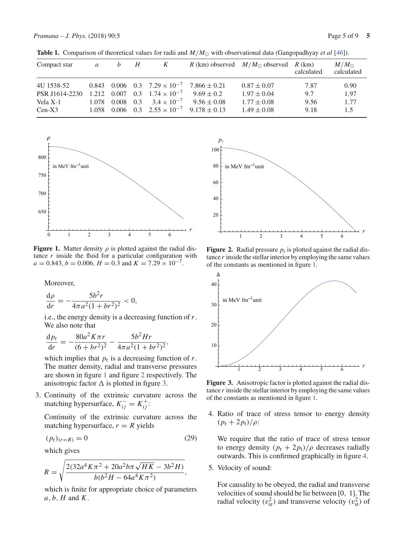|  |  |  |  |  |  | <b>Table 1.</b> Comparison of theoretical values for radii and $M/M_{\odot}$ with observational data (Gangopadhyay <i>et al</i> [46]). |  |  |  |  |
|--|--|--|--|--|--|----------------------------------------------------------------------------------------------------------------------------------------|--|--|--|--|
|--|--|--|--|--|--|----------------------------------------------------------------------------------------------------------------------------------------|--|--|--|--|

| Compact star   | $\mathfrak{a}$ | h     | H   | K                                       |                  | R (km) observed $M/M_{\odot}$ observed R (km) | calculated | $M/M_{\odot}$<br>calculated |
|----------------|----------------|-------|-----|-----------------------------------------|------------------|-----------------------------------------------|------------|-----------------------------|
| 4U 1538-52     |                |       |     | 0.843 0.006 0.3 $7.29 \times 10^{-7}$   | $7.866 \pm 0.21$ | $0.87 \pm 0.07$                               | 7.87       | 0.90                        |
| PSR J1614-2230 |                |       |     | 1.212 0.007 0.3 $1.74 \times 10^{-7}$   | $9.69 \pm 0.2$   | $1.97 \pm 0.04$                               | 9.7        | 1.97                        |
| Vela X-1       | 1.078          | 0.008 | 0.3 | $3.4 \times 10^{-7}$                    | $9.56 \pm 0.08$  | $1.77 \pm 0.08$                               | 9.56       | 1.77                        |
| $Cen-X3$       |                |       |     | $1.058$ 0.006 0.3 $2.55 \times 10^{-7}$ | $9.178 + 0.13$   | $1.49 \pm 0.08$                               | 9.18       | 1.5                         |



**Figure 1.** Matter density  $\rho$  is plotted against the radial distance  $r$  inside the fluid for a particular configuration with  $a = 0.843, b = 0.006, H = 0.3$  and  $K = 7.29 \times 10^{-7}$ .

Moreover,

$$
\frac{\mathrm{d}\rho}{\mathrm{d}r} = -\frac{5b^2r}{4\pi a^2(1+br^2)^2} < 0,
$$

i.e., the energy density is a decreasing function of *r*. We also note that

$$
\frac{\mathrm{d}p_{\rm r}}{\mathrm{d}r} = -\frac{80a^2K\pi r}{(6+br^2)^2} - \frac{5b^2Hr}{4\pi a^2(1+br^2)^2},
$$

which implies that  $p_r$  is a decreasing function of  $r$ . The matter density, radial and transverse pressures are shown in figure 1 and figure 2 respectively. The anisotropic factor  $\Delta$  is plotted in figure 3.

3. Continuity of the extrinsic curvature across the matching hypersurface,  $K_{ij}^- = K_{ij}^+$ :

Continuity of the extrinsic curvature across the matching hypersurface,  $r = R$  yields

$$
(p_r)_{(r=R)} = 0 \tag{29}
$$

which gives

$$
R = \sqrt{\frac{2(32a^4K\pi^2 + 20a^2b\pi\sqrt{HK} - 3b^2H)}{b(b^2H - 64a^4K\pi^2)}},
$$

which is finite for appropriate choice of parameters *a*, *b*, *H* and *K*.



**Figure 2.** Radial pressure  $p_r$  is plotted against the radial distance *r* inside the stellar interior by employing the same values of the constants as mentioned in figure 1.



**Figure 3.** Anisotropic factor is plotted against the radial distance *r* inside the stellar interior by employing the same values of the constants as mentioned in figure 1.

4. Ratio of trace of stress tensor to energy density  $(p_{\rm r} + 2p_{\rm t})/\rho$ :

We require that the ratio of trace of stress tensor to energy density  $(p_r + 2p_t)/\rho$  decreases radially outwards. This is confirmed graphically in figure 4.

5. Velocity of sound:

For causality to be obeyed, the radial and transverse velocities of sound should be lie between [0, 1]. The radial velocity ( $v_{\rm sr}^2$ ) and transverse velocity ( $v_{\rm st}^2$ ) of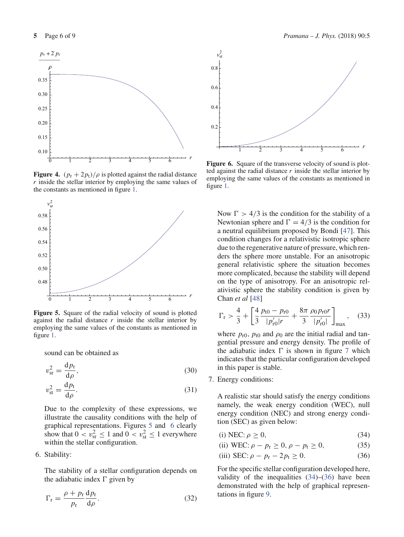

**Figure 4.**  $(p_r + 2p_t)/\rho$  is plotted against the radial distance *r* inside the stellar interior by employing the same values of the constants as mentioned in figure 1.



**Figure 5.** Square of the radial velocity of sound is plotted against the radial distance *r* inside the stellar interior by employing the same values of the constants as mentioned in figure 1.

sound can be obtained as

$$
v_{\rm sr}^2 = \frac{\mathrm{d}p_{\rm r}}{\mathrm{d}\rho},\tag{30}
$$

$$
v_{\rm st}^2 = \frac{\mathrm{d}p_{\rm t}}{\mathrm{d}\rho}.\tag{31}
$$

Due to the complexity of these expressions, we illustrate the causality conditions with the help of graphical representations. Figures 5 and 6 clearly show that  $0 < v_{\rm sr}^2 \le 1$  and  $0 < v_{\rm st}^2 \le 1$  everywhere within the stellar configuration.

# 6. Stability:

The stability of a stellar configuration depends on the adiabatic index  $\Gamma$  given by

$$
\Gamma_{\rm r} = \frac{\rho + p_{\rm r}}{p_{\rm r}} \frac{\mathrm{d}p_{\rm r}}{\mathrm{d}\rho}.
$$
\n(32)



**Figure 6.** Square of the transverse velocity of sound is plotted against the radial distance *r* inside the stellar interior by employing the same values of the constants as mentioned in figure 1.

Now  $\Gamma > 4/3$  is the condition for the stability of a Newtonian sphere and  $\Gamma = 4/3$  is the condition for a neutral equilibrium proposed by Bondi [47]. This condition changes for a relativistic isotropic sphere due to the regenerative nature of pressure, which renders the sphere more unstable. For an anisotropic general relativistic sphere the situation becomes more complicated, because the stability will depend on the type of anisotropy. For an anisotropic relativistic sphere the stability condition is given by Chan *et al* [48]

$$
\Gamma_{\rm r} > \frac{4}{3} + \left[ \frac{4}{3} \frac{p_{\rm t0} - p_{\rm r0}}{|p_{\rm r0}'| r} + \frac{8\pi}{3} \frac{\rho_0 p_{\rm r0} r}{|p_{\rm r0}'|} \right]_{\rm max}, \quad (33)
$$

where  $p_{r0}$ ,  $p_{t0}$  and  $\rho_0$  are the initial radial and tangential pressure and energy density. The profile of the adiabatic index  $\Gamma$  is shown in figure 7 which indicates that the particular configuration developed in this paper is stable.

7. Energy conditions:

A realistic star should satisfy the energy conditions namely, the weak energy condition (WEC), null energy condition (NEC) and strong energy condition (SEC) as given below:

- (i) NEC:  $\rho > 0$ , (34)
- (ii) WEC:  $\rho p_r \ge 0$ ,  $\rho p_t \ge 0$ , (35)
- (iii) SEC:  $\rho p_r 2p_t \ge 0$ . (36)

For the specific stellar configuration developed here, validity of the inequalities  $(34)$ – $(36)$  have been demonstrated with the help of graphical representations in figure 9.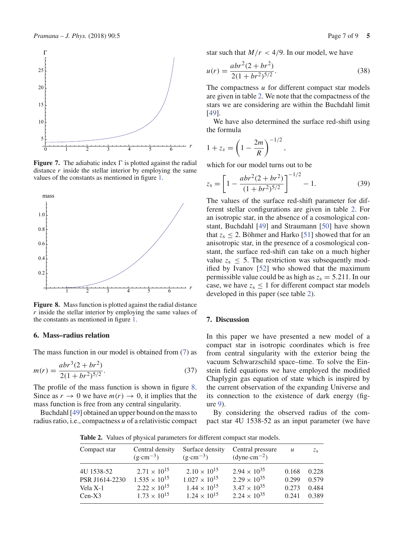

**Figure 7.** The adiabatic index  $\Gamma$  is plotted against the radial distance  $r$  inside the stellar interior by employing the same values of the constants as mentioned in figure 1.



**Figure 8.** Mass function is plotted against the radial distance *r* inside the stellar interior by employing the same values of the constants as mentioned in figure 1.

#### **6. Mass–radius relation**

The mass function in our model is obtained from (7) as

$$
m(r) = \frac{abr^3(2 + br^2)}{2(1 + br^2)^{5/2}}.
$$
\n(37)

The profile of the mass function is shown in figure 8. Since as  $r \to 0$  we have  $m(r) \to 0$ , it implies that the mass function is free from any central singularity.

Buchdahl [49] obtained an upper bound on the mass to radius ratio, i.e., compactness *u* of a relativistic compact star such that  $M/r < 4/9$ . In our model, we have

$$
u(r) = \frac{abr^2(2 + br^2)}{2(1 + br^2)^{5/2}}.
$$
\n(38)

The compactness *u* for different compact star models are given in table 2. We note that the compactness of the stars we are considering are within the Buchdahl limit [49].

We have also determined the surface red-shift using the formula

$$
1 + z_s = \left(1 - \frac{2m}{R}\right)^{-1/2},
$$

which for our model turns out to be

$$
z_{s} = \left[1 - \frac{abr^{2}(2 + br^{2})}{(1 + br^{2})^{5/2}}\right]^{-1/2} - 1.
$$
 (39)

The values of the surface red-shift parameter for different stellar configurations are given in table 2. For an isotropic star, in the absence of a cosmological constant, Buchdahl [49] and Straumann [50] have shown that  $z_s \leq 2$ . Böhmer and Harko [51] showed that for an anisotropic star, in the presence of a cosmological constant, the surface red-shift can take on a much higher value  $z_s \leq 5$ . The restriction was subsequently modified by Ivanov [52] who showed that the maximum permissible value could be as high as  $z_s = 5.211$ . In our case, we have  $z_s \leq 1$  for different compact star models developed in this paper (see table 2).

# **7. Discussion**

In this paper we have presented a new model of a compact star in isotropic coordinates which is free from central singularity with the exterior being the vacuum Schwarzschild space–time. To solve the Einstein field equations we have employed the modified Chaplygin gas equation of state which is inspired by the current observation of the expanding Universe and its connection to the existence of dark energy (figure 9).

By considering the observed radius of the compact star 4U 1538-52 as an input parameter (we have

**Table 2.** Values of physical parameters for different compact star models.

| Compact star   | Central density<br>$(g \cdot cm^{-3})$ | Surface density<br>$(g \cdot cm^{-3})$ | Central pressure<br>$(dyne\cdot cm^{-2})$ | $\mathcal{U}$ | $z_{s}$ |
|----------------|----------------------------------------|----------------------------------------|-------------------------------------------|---------------|---------|
| 4U 1538-52     | $2.71 \times 10^{15}$                  | $2.10 \times 10^{15}$                  | $2.94 \times 10^{35}$                     | 0.168         | 0.228   |
| PSR J1614-2230 | $1.535 \times 10^{15}$                 | $1.027 \times 10^{15}$                 | $2.29 \times 10^{35}$                     | 0.299         | 0.579   |
| Vela X-1       | $2.22 \times 10^{15}$                  | $1.44 \times 10^{15}$                  | $3.47 \times 10^{35}$                     | 0.273         | 0.484   |
| $Cen-X3$       | $1.73 \times 10^{15}$                  | $1.24 \times 10^{15}$                  | $2.24 \times 10^{35}$                     | 0.241         | 0.389   |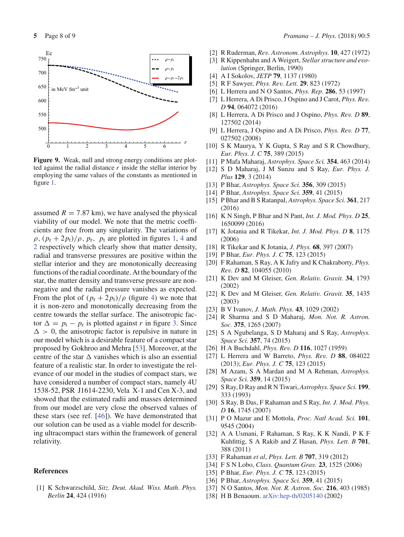

Figure 9. Weak, null and strong energy conditions are plotted against the radial distance *r* inside the stellar interior by employing the same values of the constants as mentioned in figure 1.

assumed  $R = 7.87$  km), we have analysed the physical viability of our model. We note that the metric coefficients are free from any singularity. The variations of  $\rho$ ,  $(p_r + 2p_t)/\rho$ ,  $p_r$ ,  $p_t$  are plotted in figures 1, 4 and 2 respectively which clearly show that matter density, radial and transverse pressures are positive within the stellar interior and they are monotonically decreasing functions of the radial coordinate. At the boundary of the star, the matter density and transverse pressure are nonnegative and the radial pressure vanishes as expected. From the plot of  $(p_r + 2p_t)/\rho$  (figure 4) we note that it is non-zero and monotonically decreasing from the centre towards the stellar surface. The anisotropic factor  $\Delta = p_t - p_r$  is plotted against *r* in figure 3. Since  $\Delta > 0$ , the anisotropic factor is repulsive in nature in our model which is a desirable feature of a compact star proposed by Gokhroo and Mehra [53]. Moreover, at the centre of the star  $\Delta$  vanishes which is also an essential feature of a realistic star. In order to investigate the relevance of our model in the studies of compact stars, we have considered a number of compact stars, namely 4U 1538-52, PSR J1614-2230, Vela X-1 and Cen X-3, and showed that the estimated radii and masses determined from our model are very close the observed values of these stars (see ref. [46]). We have demonstrated that our solution can be used as a viable model for describing ultracompact stars within the framework of general relativity.

#### **References**

[1] K Schwarzschild, *Sitz. Deut. Akad. Wiss. Math. Phys. Berlin* **24**, 424 (1916)

- [2] R Ruderman, *Rev. Astronom. Astrophys.* **10**, 427 (1972)
- [3] R Kippenhahn and A Weigert, *Stellar structure and evolution* (Springer, Berlin, 1990)
- [4] A I Sokolov, *JETP* **79**, 1137 (1980)
- [5] R F Sawyer, *Phys. Rev. Lett.* **29**, 823 (1972)
- [6] L Herrera and N O Santos, *Phys. Rep.* **286**, 53 (1997)
- [7] L Herrera, A Di Prisco, J Ospino and J Carot, *Phys. Rev. D* **94**, 064072 (2016)
- [8] L Herrera, A Di Prisco and J Ospino, *Phys. Rev. D* **89**, 127502 (2014)
- [9] L Herrera, J Ospino and A Di Prisco, *Phys. Rev. D* **77**, 027502 (2008)
- [10] S K Maurya, Y K Gupta, S Ray and S R Chowdhury, *Eur. Phys. J. C* **75**, 389 (2015)
- [11] P Mafa Maharaj, *Astrophys. Space Sci.* **354**, 463 (2014)
- [12] S D Maharaj, J M Sunzu and S Ray, *Eur. Phys. J. Plus* **129**, 3 (2014)
- [13] P Bhar, *Astrophys. Space Sci.* **356**, 309 (2015)
- [14] P Bhar, *Astrophys. Space Sci*. **359**, 41 (2015)
- [15] P Bhar and B S Ratanpal, *Astrophys. Space Sci.* **361**, 217 (2016)
- [16] K N Singh, P Bhar and N Pant, *Int. J. Mod. Phys. D* **25**, 1650099 (2016)
- [17] K Jotania and R Tikekar, *Int. J. Mod. Phys. D* **8**, 1175 (2006)
- [18] R Tikekar and K Jotania, *J. Phys.* **68**, 397 (2007)
- [19] P Bhar, *Eur. Phys. J. C* **75**, 123 (2015)
- [20] F Rahaman, S Ray, A K Jafry and K Chakraborty, *Phys. Rev. D* **82**, 104055 (2010)
- [21] K Dev and M Gleiser, *Gen. Relativ. Gravit.* **34**, 1793 (2002)
- [22] K Dev and M Gleiser, *Gen. Relativ. Gravit.* **35**, 1435 (2003)
- [23] B V Ivanov, *J. Math. Phys.* **43**, 1029 (2002)
- [24] R Sharma and S D Maharaj, *Mon. Not. R. Astron. Soc.* **375**, 1265 (2007)
- [25] S A Ngubelanga, S D Maharaj and S Ray, *Astrophys. Space Sci.* **357**, 74 (2015)
- [26] H A Buchdahl, *Phys. Rev. D* **116**, 1027 (1959)
- [27] L Herrera and W Barreto, *Phys. Rev. D* **88**, 084022 (2013); *Eur. Phys. J. C* **75**, 123 (2015)
- [28] M Azam, S A Mardan and M A Rehman, *Astrophys. Space Sci.* **359**, 14 (2015)
- [29] S Ray, D Ray and R N Tiwari, *Astrophys. Space Sci.* **199**, 333 (1993)
- [30] S Ray, B Das, F Rahaman and S Ray, *Int. J. Mod. Phys. D* **16**, 1745 (2007)
- [31] P O Mazur and E Mottola, *Proc. Natl Acad. Sci.* **101**, 9545 (2004)
- [32] A A Usmani, F Rahaman, S Ray, K K Nandi, P K F Kuhfittig, S A Rakib and Z Hasan, *Phys. Lett. B* **701**, 388 (2011)
- [33] F Rahaman *et al*, *Phys. Lett. B* **707**, 319 (2012)
- [34] F S N Lobo, *Class. Quantum Grav.* **23**, 1525 (2006)
- [35] P Bhar, *Eur. Phys. J. C* **75**, 123 (2015)
- [36] P Bhar, *Astrophys. Space Sci.* **359**, 41 (2015)
- [37] N O Santos, *Mon. Not. R. Astron. Soc.* **216**, 403 (1985)
- [38] H B Benaoum. arXiv:hep-th/0205140 (2002)